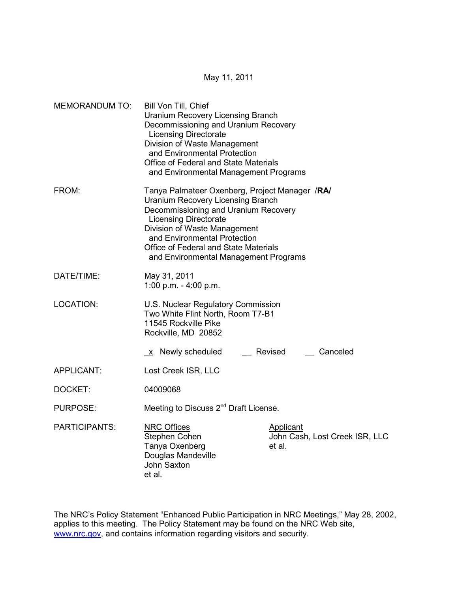May 11, 2011

| <b>MEMORANDUM TO:</b> | Bill Von Till, Chief<br><b>Uranium Recovery Licensing Branch</b><br>Decommissioning and Uranium Recovery<br><b>Licensing Directorate</b><br>Division of Waste Management<br>and Environmental Protection<br>Office of Federal and State Materials<br>and Environmental Management Programs                           |                                                              |  |
|-----------------------|----------------------------------------------------------------------------------------------------------------------------------------------------------------------------------------------------------------------------------------------------------------------------------------------------------------------|--------------------------------------------------------------|--|
| FROM:                 | Tanya Palmateer Oxenberg, Project Manager /RA/<br><b>Uranium Recovery Licensing Branch</b><br>Decommissioning and Uranium Recovery<br><b>Licensing Directorate</b><br>Division of Waste Management<br>and Environmental Protection<br>Office of Federal and State Materials<br>and Environmental Management Programs |                                                              |  |
| DATE/TIME:            | May 31, 2011<br>1:00 p.m. - 4:00 p.m.                                                                                                                                                                                                                                                                                |                                                              |  |
| LOCATION:             | U.S. Nuclear Regulatory Commission<br>Two White Flint North, Room T7-B1<br>11545 Rockville Pike<br>Rockville, MD 20852                                                                                                                                                                                               |                                                              |  |
|                       | x Newly scheduled                                                                                                                                                                                                                                                                                                    | Revised<br>Canceled                                          |  |
| APPLICANT:            | Lost Creek ISR, LLC                                                                                                                                                                                                                                                                                                  |                                                              |  |
| DOCKET:               | 04009068                                                                                                                                                                                                                                                                                                             |                                                              |  |
| <b>PURPOSE:</b>       | Meeting to Discuss 2 <sup>nd</sup> Draft License.                                                                                                                                                                                                                                                                    |                                                              |  |
| <b>PARTICIPANTS:</b>  | <b>NRC Offices</b><br>Stephen Cohen<br>Tanya Oxenberg<br>Douglas Mandeville<br><b>John Saxton</b><br>et al.                                                                                                                                                                                                          | <b>Applicant</b><br>John Cash, Lost Creek ISR, LLC<br>et al. |  |

The NRC's Policy Statement "Enhanced Public Participation in NRC Meetings," May 28, 2002, applies to this meeting. The Policy Statement may be found on the NRC Web site, www.nrc.gov, and contains information regarding visitors and security.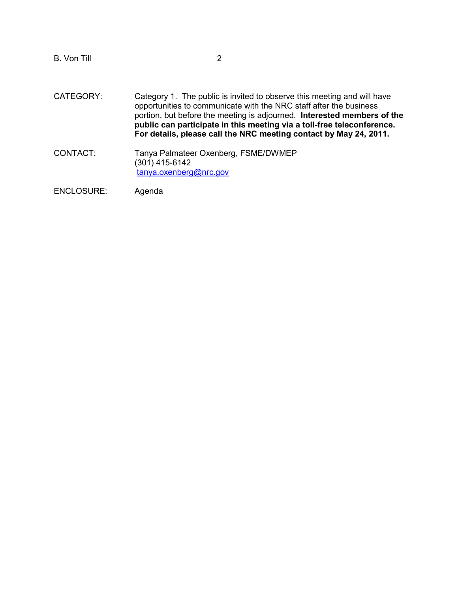B. Von Till 2

- CATEGORY: Category 1. The public is invited to observe this meeting and will have opportunities to communicate with the NRC staff after the business portion, but before the meeting is adjourned. **Interested members of the public can participate in this meeting via a toll-free teleconference. For details, please call the NRC meeting contact by May 24, 2011.**
- CONTACT: Tanya Palmateer Oxenberg, FSME/DWMEP (301) 415-6142 tanya.oxenberg@nrc.gov

ENCLOSURE: Agenda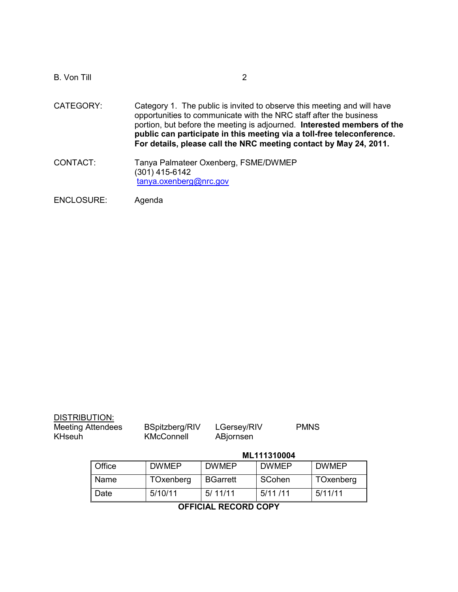| <b>B. Von Till</b> |                                                                                                                                                                                                                                                                                                                                                                         |
|--------------------|-------------------------------------------------------------------------------------------------------------------------------------------------------------------------------------------------------------------------------------------------------------------------------------------------------------------------------------------------------------------------|
| CATEGORY:          | Category 1. The public is invited to observe this meeting and will have<br>opportunities to communicate with the NRC staff after the business<br>portion, but before the meeting is adjourned. Interested members of the<br>public can participate in this meeting via a toll-free teleconference.<br>For details, please call the NRC meeting contact by May 24, 2011. |
| CONTACT:           | Tanya Palmateer Oxenberg, FSME/DWMEP<br>(301) 415-6142<br>tanya.oxenberg@nrc.gov                                                                                                                                                                                                                                                                                        |
| ENIOLOOLIDE.       | $\lambda$ acada                                                                                                                                                                                                                                                                                                                                                         |

ENCLOSURE: Agenda

| DISTRIBUTION: |                   |
|---------------|-------------------|
|               | Maailaa Aitaadaaa |

KHseuh KMcConnell ABjornsen

Meeting Attendees BSpitzberg/RIV LGersey/RIV PMNS

## **ML111310004**

| <b>Office</b> | <b>DWMEP</b> | <b>DWMEP</b>    | <b>DWMEP</b> | <b>DWMEP</b> |
|---------------|--------------|-----------------|--------------|--------------|
| Name          | TOxenberg    | <b>BGarrett</b> | SCohen       | TOxenberg    |
| <b>Date</b>   | 5/10/11      | 5/11/11         | 5/11/11      | 5/11/11      |

## **OFFICIAL RECORD COPY**